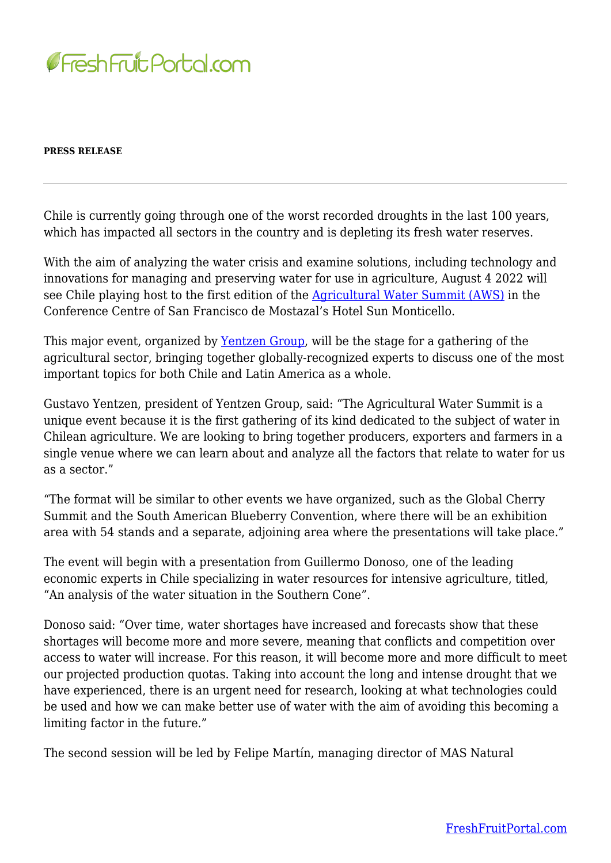

## **PRESS RELEASE**

Chile is currently going through one of the worst recorded droughts in the last 100 years, which has impacted all sectors in the country and is depleting its fresh water reserves.

With the aim of analyzing the water crisis and examine solutions, including technology and innovations for managing and preserving water for use in agriculture, August 4 2022 will see Chile playing host to the first edition of the [Agricultural Water Summit \(AWS\)](https://www.agwatersummit.com/) in the Conference Centre of San Francisco de Mostazal's Hotel Sun Monticello.

This major event, organized by <u>Yentzen Group</u>, will be the stage for a gathering of the agricultural sector, bringing together globally-recognized experts to discuss one of the most important topics for both Chile and Latin America as a whole.

Gustavo Yentzen, president of Yentzen Group, said: "The Agricultural Water Summit is a unique event because it is the first gathering of its kind dedicated to the subject of water in Chilean agriculture. We are looking to bring together producers, exporters and farmers in a single venue where we can learn about and analyze all the factors that relate to water for us as a sector."

"The format will be similar to other events we have organized, such as the Global Cherry Summit and the South American Blueberry Convention, where there will be an exhibition area with 54 stands and a separate, adjoining area where the presentations will take place."

The event will begin with a presentation from Guillermo Donoso, one of the leading economic experts in Chile specializing in water resources for intensive agriculture, titled, "An analysis of the water situation in the Southern Cone".

Donoso said: "Over time, water shortages have increased and forecasts show that these shortages will become more and more severe, meaning that conflicts and competition over access to water will increase. For this reason, it will become more and more difficult to meet our projected production quotas. Taking into account the long and intense drought that we have experienced, there is an urgent need for research, looking at what technologies could be used and how we can make better use of water with the aim of avoiding this becoming a limiting factor in the future."

The second session will be led by Felipe Martín, managing director of MAS Natural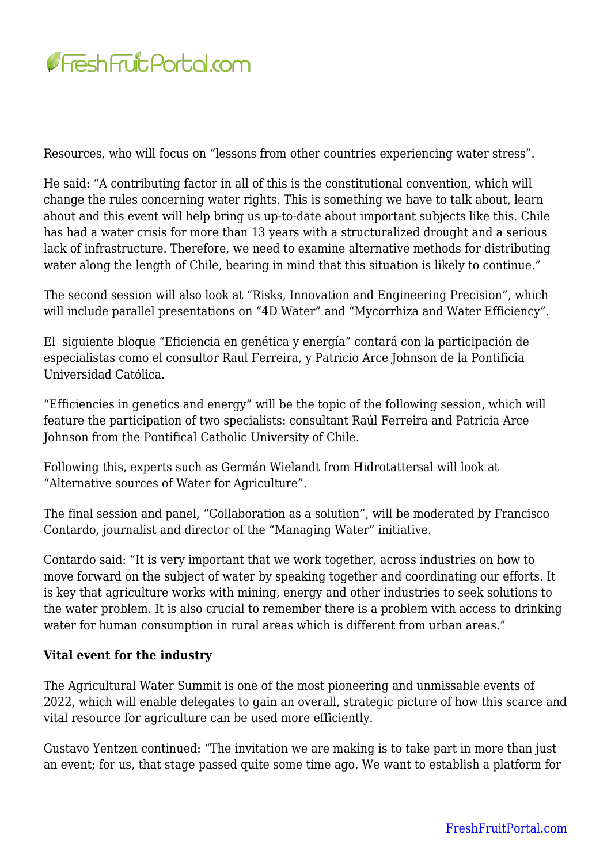

Resources, who will focus on "lessons from other countries experiencing water stress".

He said: "A contributing factor in all of this is the constitutional convention, which will change the rules concerning water rights. This is something we have to talk about, learn about and this event will help bring us up-to-date about important subjects like this. Chile has had a water crisis for more than 13 years with a structuralized drought and a serious lack of infrastructure. Therefore, we need to examine alternative methods for distributing water along the length of Chile, bearing in mind that this situation is likely to continue."

The second session will also look at "Risks, Innovation and Engineering Precision", which will include parallel presentations on "4D Water" and "Mycorrhiza and Water Efficiency".

El siguiente bloque "Eficiencia en genética y energía" contará con la participación de especialistas como el consultor Raul Ferreira, y Patricio Arce Johnson de la Pontificia Universidad Católica.

"Efficiencies in genetics and energy" will be the topic of the following session, which will feature the participation of two specialists: consultant Raúl Ferreira and Patricia Arce Johnson from the Pontifical Catholic University of Chile.

Following this, experts such as Germán Wielandt from Hidrotattersal will look at "Alternative sources of Water for Agriculture".

The final session and panel, "Collaboration as a solution", will be moderated by Francisco Contardo, journalist and director of the "Managing Water" initiative.

Contardo said: "It is very important that we work together, across industries on how to move forward on the subject of water by speaking together and coordinating our efforts. It is key that agriculture works with mining, energy and other industries to seek solutions to the water problem. It is also crucial to remember there is a problem with access to drinking water for human consumption in rural areas which is different from urban areas."

## **Vital event for the industry**

The Agricultural Water Summit is one of the most pioneering and unmissable events of 2022, which will enable delegates to gain an overall, strategic picture of how this scarce and vital resource for agriculture can be used more efficiently.

Gustavo Yentzen continued: "The invitation we are making is to take part in more than just an event; for us, that stage passed quite some time ago. We want to establish a platform for